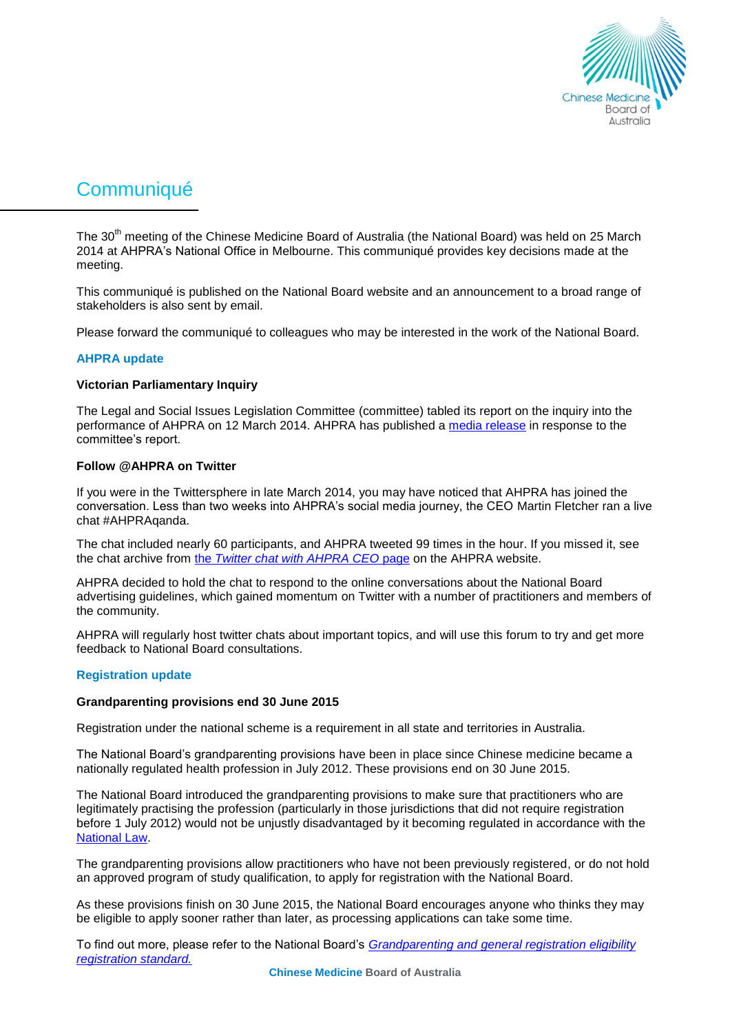

# **Communiqué**

The 30<sup>th</sup> meeting of the Chinese Medicine Board of Australia (the National Board) was held on 25 March 2014 at AHPRA's National Office in Melbourne. This communiqué provides key decisions made at the meeting.

This communiqué is published on the National Board website and an announcement to a broad range of stakeholders is also sent by email.

Please forward the communiqué to colleagues who may be interested in the work of the National Board.

# **AHPRA update**

## **Victorian Parliamentary Inquiry**

The Legal and Social Issues Legislation Committee (committee) tabled its report on the inquiry into the performance of AHPRA on 12 March 2014. AHPRA has published a [media release](http://www.ahpra.gov.au/News/2014-03-12-media-release.aspx) in response to the committee's report.

## **Follow @AHPRA on Twitter**

If you were in the Twittersphere in late March 2014, you may have noticed that AHPRA has joined the conversation. Less than two weeks into AHPRA's social media journey, the CEO Martin Fletcher ran a live chat #AHPRAqanda.

The chat included nearly 60 participants, and AHPRA tweeted 99 times in the hour. If you missed it, see the chat archive from the *[Twitter chat with AHPRA CEO](http://www.ahpra.gov.au/News/2014-03-21-twitter-chat-with-AHPRA-CEO.aspx)* page on the AHPRA website.

AHPRA decided to hold the chat to respond to the online conversations about the National Board advertising guidelines, which gained momentum on Twitter with a number of practitioners and members of the community.

AHPRA will regularly host twitter chats about important topics, and will use this forum to try and get more feedback to National Board consultations.

## **Registration update**

## **Grandparenting provisions end 30 June 2015**

Registration under the national scheme is a requirement in all state and territories in Australia.

The National Board's grandparenting provisions have been in place since Chinese medicine became a nationally regulated health profession in July 2012. These provisions end on 30 June 2015.

The National Board introduced the grandparenting provisions to make sure that practitioners who are legitimately practising the profession (particularly in those jurisdictions that did not require registration before 1 July 2012) would not be unjustly disadvantaged by it becoming regulated in accordance with the [National Law.](http://www.ahpra.gov.au/About-AHPRA/What-we-do/Legislation.aspx)

The grandparenting provisions allow practitioners who have not been previously registered, or do not hold an approved program of study qualification, to apply for registration with the National Board.

As these provisions finish on 30 June 2015, the National Board encourages anyone who thinks they may be eligible to apply sooner rather than later, as processing applications can take some time.

To find out more, please refer to the National Board's *[Grandparenting and general registration eligibility](http://www.chinesemedicineboard.gov.au/Registration-Standards.aspx) [registration standard.](http://www.chinesemedicineboard.gov.au/Registration-Standards.aspx)*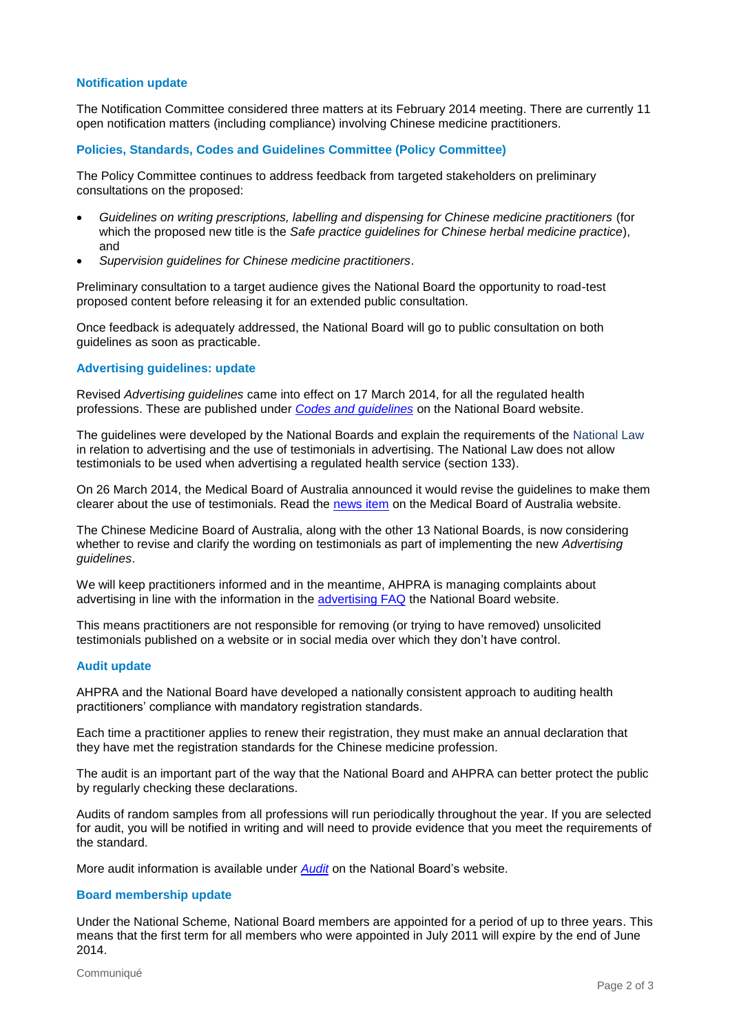## **Notification update**

The Notification Committee considered three matters at its February 2014 meeting. There are currently 11 open notification matters (including compliance) involving Chinese medicine practitioners.

#### **Policies, Standards, Codes and Guidelines Committee (Policy Committee)**

The Policy Committee continues to address feedback from targeted stakeholders on preliminary consultations on the proposed:

- *Guidelines on writing prescriptions, labelling and dispensing for Chinese medicine practitioners* (for which the proposed new title is the *Safe practice guidelines for Chinese herbal medicine practice*), and
- *Supervision guidelines for Chinese medicine practitioners*.

Preliminary consultation to a target audience gives the National Board the opportunity to road-test proposed content before releasing it for an extended public consultation.

Once feedback is adequately addressed, the National Board will go to public consultation on both guidelines as soon as practicable.

#### **Advertising guidelines: update**

Revised *Advertising guidelines* came into effect on 17 March 2014, for all the regulated health professions. These are published under *[Codes and guidelines](http://www.chinesemedicineboard.gov.au/Codes-Guidelines.aspx)* on the National Board website.

The guidelines were developed by the National Boards and explain the requirements of the National Law in relation to advertising and the use of testimonials in advertising. The National Law does not allow testimonials to be used when advertising a regulated health service (section 133).

On 26 March 2014, the Medical Board of Australia announced it would revise the guidelines to make them clearer about the use of testimonials. Read the [news item](http://www.medicalboard.gov.au/News/2014-03-26-mba-to-change-advertising-guidelines.aspx) on the Medical Board of Australia website.

The Chinese Medicine Board of Australia, along with the other 13 National Boards, is now considering whether to revise and clarify the wording on testimonials as part of implementing the new *Advertising guidelines*.

We will keep practitioners informed and in the meantime, AHPRA is managing complaints about advertising in line with the information in the [advertising FAQ](http://www.chinesemedicineboard.gov.au/documents/default.aspx?record=WD14%2f13411&dbid=AP&chksum=2ZSU3%2b%2blB%2f4gfD35OHU57w%3d%3d) the National Board website.

This means practitioners are not responsible for removing (or trying to have removed) unsolicited testimonials published on a website or in social media over which they don't have control.

#### **Audit update**

AHPRA and the National Board have developed a nationally consistent approach to auditing health practitioners' compliance with mandatory registration standards.

Each time a practitioner applies to renew their registration, they must make an annual declaration that they have met the registration standards for the Chinese medicine profession.

The audit is an important part of the way that the National Board and AHPRA can better protect the public by regularly checking these declarations.

Audits of random samples from all professions will run periodically throughout the year. If you are selected for audit, you will be notified in writing and will need to provide evidence that you meet the requirements of the standard.

More audit information is available under *[Audit](http://www.chinesemedicineboard.gov.au/Registration/Audit.aspx)* on the National Board's website.

#### **Board membership update**

Under the National Scheme, National Board members are appointed for a period of up to three years. This means that the first term for all members who were appointed in July 2011 will expire by the end of June 2014.